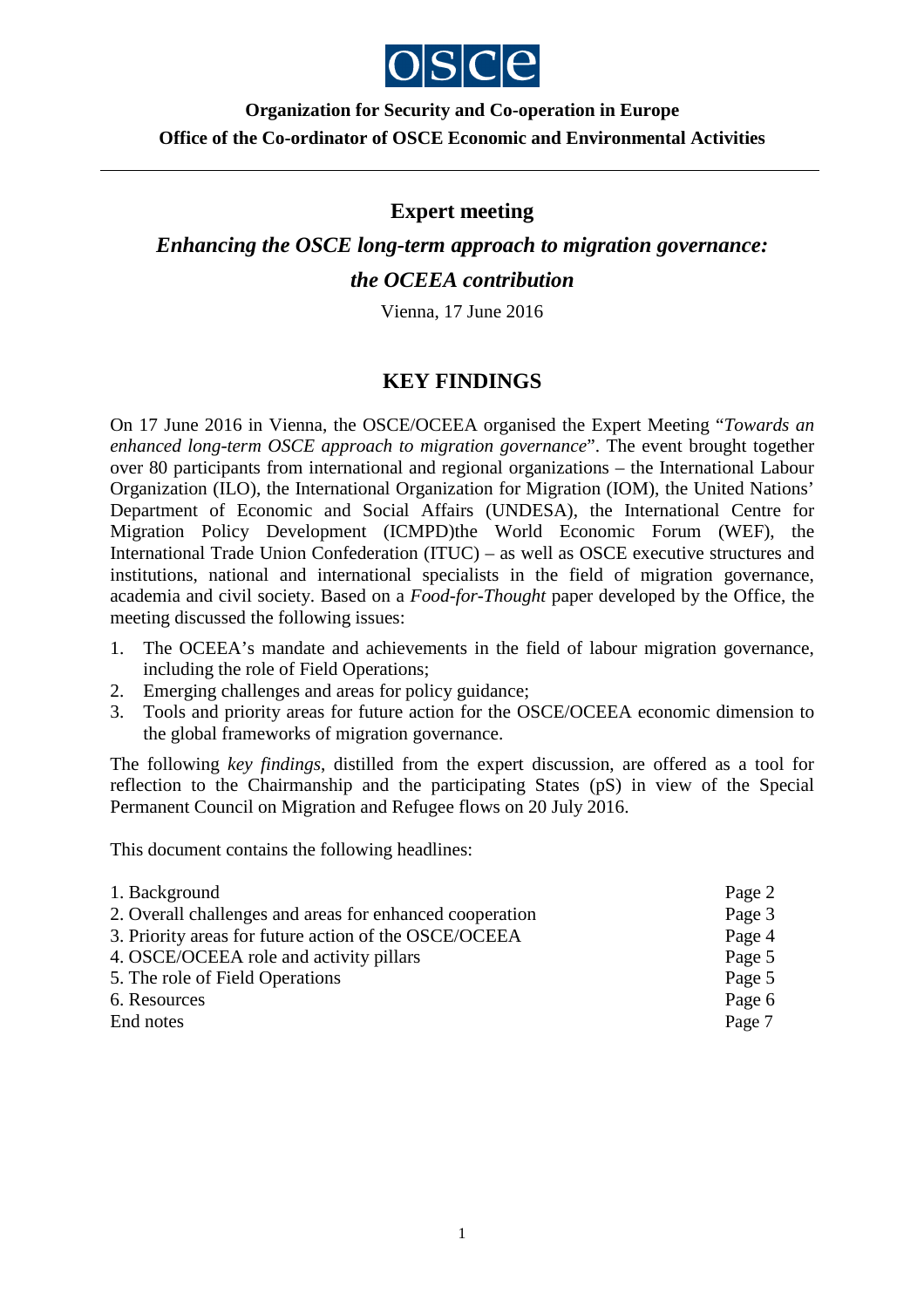

# **Organization for Security and Co-operation in Europe Office of the Co-ordinator of OSCE Economic and Environmental Activities**

### **Expert meeting**

*Enhancing the OSCE long-term approach to migration governance: the OCEEA contribution* 

Vienna, 17 June 2016

## **KEY FINDINGS**

On 17 June 2016 in Vienna, the OSCE/OCEEA organised the Expert Meeting "*Towards an enhanced long-term OSCE approach to migration governance*". The event brought together over 80 participants from international and regional organizations – the International Labour Organization (ILO), the International Organization for Migration (IOM), the United Nations' Department of Economic and Social Affairs (UNDESA), the International Centre for Migration Policy Development (ICMPD)the World Economic Forum (WEF), the International Trade Union Confederation (ITUC) – as well as OSCE executive structures and institutions, national and international specialists in the field of migration governance, academia and civil society. Based on a *Food-for-Thought* paper developed by the Office, the meeting discussed the following issues:

- 1. The OCEEA's mandate and achievements in the field of labour migration governance, including the role of Field Operations;
- 2. Emerging challenges and areas for policy guidance;
- 3. Tools and priority areas for future action for the OSCE/OCEEA economic dimension to the global frameworks of migration governance.

The following *key findings*, distilled from the expert discussion, are offered as a tool for reflection to the Chairmanship and the participating States (pS) in view of the Special Permanent Council on Migration and Refugee flows on 20 July 2016.

This document contains the following headlines:

| Page 2 |
|--------|
| Page 3 |
| Page 4 |
| Page 5 |
| Page 5 |
| Page 6 |
| Page 7 |
|        |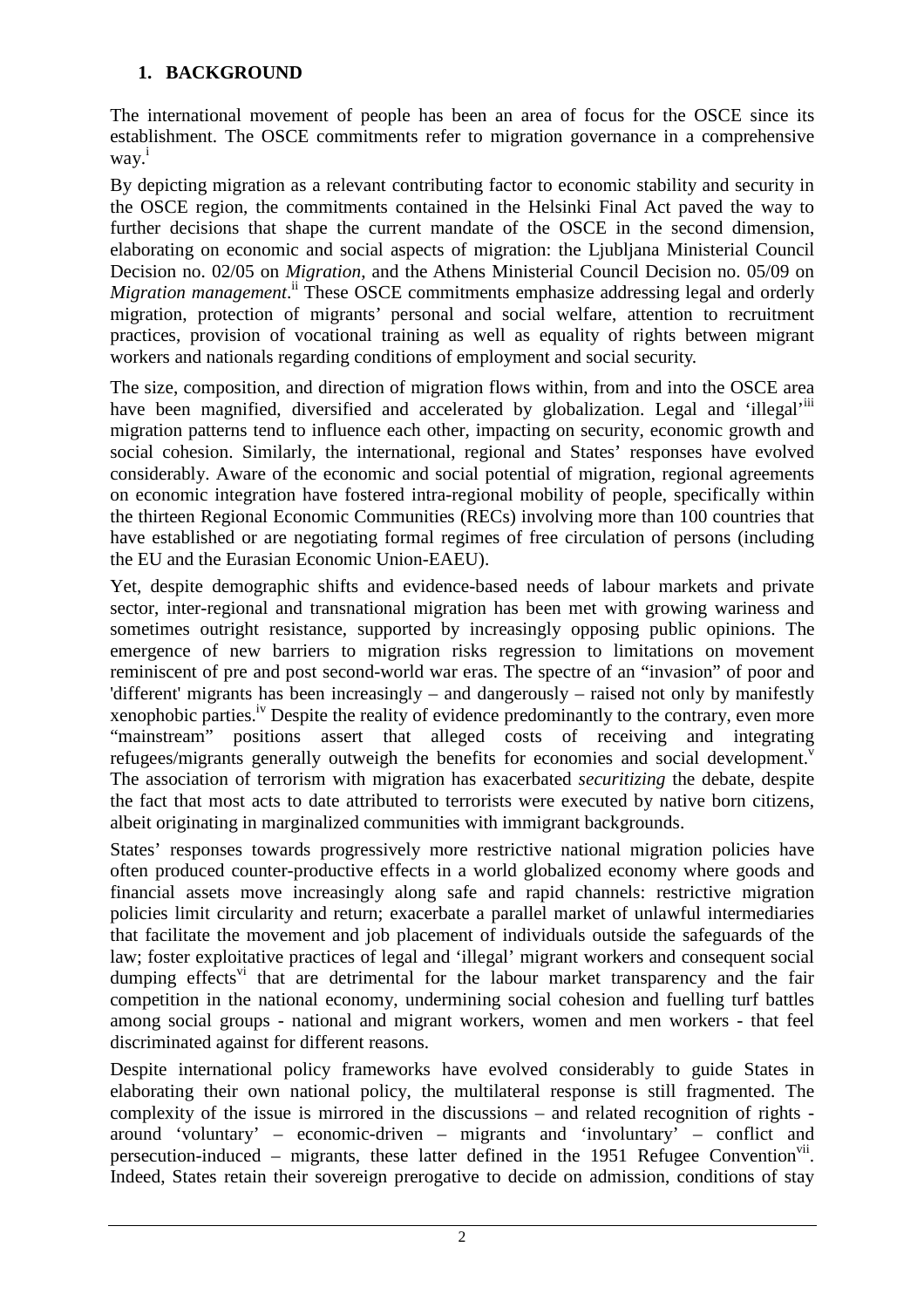### **1. BACKGROUND**

The international movement of people has been an area of focus for the OSCE since its establishment. The OSCE commitments refer to migration governance in a comprehensive way. i

By depicting migration as a relevant contributing factor to economic stability and security in the OSCE region, the commitments contained in the Helsinki Final Act paved the way to further decisions that shape the current mandate of the OSCE in the second dimension, elaborating on economic and social aspects of migration: the Ljubljana Ministerial Council Decision no. 02/05 on *Migration*, and the Athens Ministerial Council Decision no. 05/09 on Migration management.<sup>ii</sup> These OSCE commitments emphasize addressing legal and orderly migration, protection of migrants' personal and social welfare, attention to recruitment practices, provision of vocational training as well as equality of rights between migrant workers and nationals regarding conditions of employment and social security.

The size, composition, and direction of migration flows within, from and into the OSCE area have been magnified, diversified and accelerated by globalization. Legal and 'illegal'<sup>iii</sup> migration patterns tend to influence each other, impacting on security, economic growth and social cohesion. Similarly, the international, regional and States' responses have evolved considerably. Aware of the economic and social potential of migration, regional agreements on economic integration have fostered intra-regional mobility of people, specifically within the thirteen Regional Economic Communities (RECs) involving more than 100 countries that have established or are negotiating formal regimes of free circulation of persons (including the EU and the Eurasian Economic Union-EAEU).

Yet, despite demographic shifts and evidence-based needs of labour markets and private sector, inter-regional and transnational migration has been met with growing wariness and sometimes outright resistance, supported by increasingly opposing public opinions. The emergence of new barriers to migration risks regression to limitations on movement reminiscent of pre and post second-world war eras. The spectre of an "invasion" of poor and 'different' migrants has been increasingly – and dangerously – raised not only by manifestly xenophobic parties.<sup>iv</sup> Despite the reality of evidence predominantly to the contrary, even more "mainstream" positions assert that alleged costs of receiving and integrating refugees/migrants generally outweigh the benefits for economies and social development.<sup>v</sup> The association of terrorism with migration has exacerbated *securitizing* the debate, despite the fact that most acts to date attributed to terrorists were executed by native born citizens, albeit originating in marginalized communities with immigrant backgrounds.

States' responses towards progressively more restrictive national migration policies have often produced counter-productive effects in a world globalized economy where goods and financial assets move increasingly along safe and rapid channels: restrictive migration policies limit circularity and return; exacerbate a parallel market of unlawful intermediaries that facilitate the movement and job placement of individuals outside the safeguards of the law; foster exploitative practices of legal and 'illegal' migrant workers and consequent social dumping effects<sup>vi</sup> that are detrimental for the labour market transparency and the fair competition in the national economy, undermining social cohesion and fuelling turf battles among social groups - national and migrant workers, women and men workers - that feel discriminated against for different reasons.

Despite international policy frameworks have evolved considerably to guide States in elaborating their own national policy, the multilateral response is still fragmented. The complexity of the issue is mirrored in the discussions – and related recognition of rights around 'voluntary' – economic-driven – migrants and 'involuntary' – conflict and persecution-induced – migrants, these latter defined in the 1951 Refugee Convention<sup>vii</sup>. Indeed, States retain their sovereign prerogative to decide on admission, conditions of stay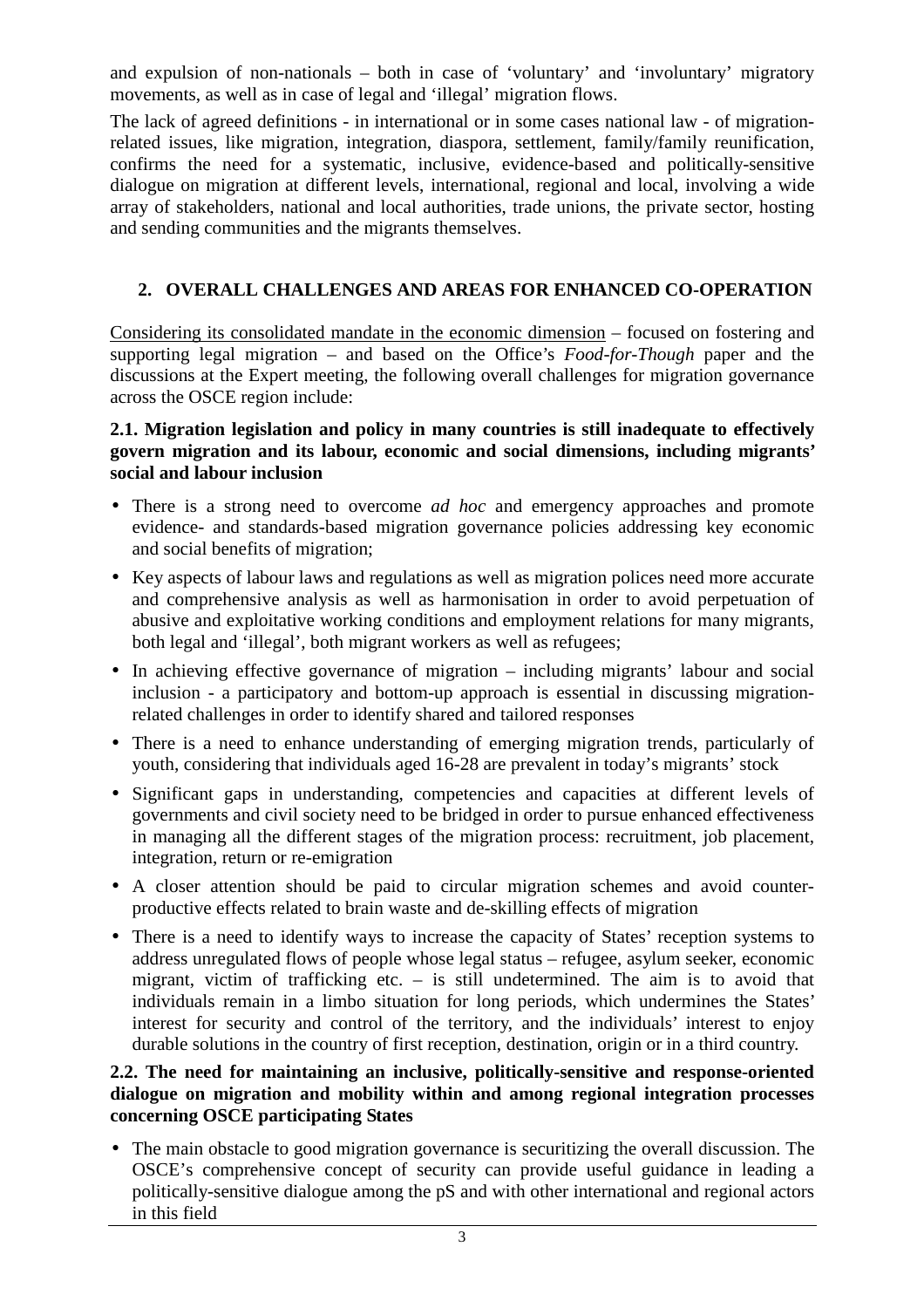and expulsion of non-nationals – both in case of 'voluntary' and 'involuntary' migratory movements, as well as in case of legal and 'illegal' migration flows.

The lack of agreed definitions - in international or in some cases national law - of migrationrelated issues, like migration, integration, diaspora, settlement, family/family reunification, confirms the need for a systematic, inclusive, evidence-based and politically-sensitive dialogue on migration at different levels, international, regional and local, involving a wide array of stakeholders, national and local authorities, trade unions, the private sector, hosting and sending communities and the migrants themselves.

## **2. OVERALL CHALLENGES AND AREAS FOR ENHANCED CO-OPERATION**

Considering its consolidated mandate in the economic dimension – focused on fostering and supporting legal migration – and based on the Office's *Food-for-Though* paper and the discussions at the Expert meeting, the following overall challenges for migration governance across the OSCE region include:

#### **2.1. Migration legislation and policy in many countries is still inadequate to effectively govern migration and its labour, economic and social dimensions, including migrants' social and labour inclusion**

- There is a strong need to overcome *ad hoc* and emergency approaches and promote evidence- and standards-based migration governance policies addressing key economic and social benefits of migration;
- Key aspects of labour laws and regulations as well as migration polices need more accurate and comprehensive analysis as well as harmonisation in order to avoid perpetuation of abusive and exploitative working conditions and employment relations for many migrants, both legal and 'illegal', both migrant workers as well as refugees;
- In achieving effective governance of migration including migrants' labour and social inclusion - a participatory and bottom-up approach is essential in discussing migrationrelated challenges in order to identify shared and tailored responses
- There is a need to enhance understanding of emerging migration trends, particularly of youth, considering that individuals aged 16-28 are prevalent in today's migrants' stock
- Significant gaps in understanding, competencies and capacities at different levels of governments and civil society need to be bridged in order to pursue enhanced effectiveness in managing all the different stages of the migration process: recruitment, job placement, integration, return or re-emigration
- A closer attention should be paid to circular migration schemes and avoid counterproductive effects related to brain waste and de-skilling effects of migration
- There is a need to identify ways to increase the capacity of States' reception systems to address unregulated flows of people whose legal status – refugee, asylum seeker, economic migrant, victim of trafficking etc. – is still undetermined. The aim is to avoid that individuals remain in a limbo situation for long periods, which undermines the States' interest for security and control of the territory, and the individuals' interest to enjoy durable solutions in the country of first reception, destination, origin or in a third country.

#### **2.2. The need for maintaining an inclusive, politically-sensitive and response-oriented dialogue on migration and mobility within and among regional integration processes concerning OSCE participating States**

• The main obstacle to good migration governance is securitizing the overall discussion. The OSCE's comprehensive concept of security can provide useful guidance in leading a politically-sensitive dialogue among the pS and with other international and regional actors in this field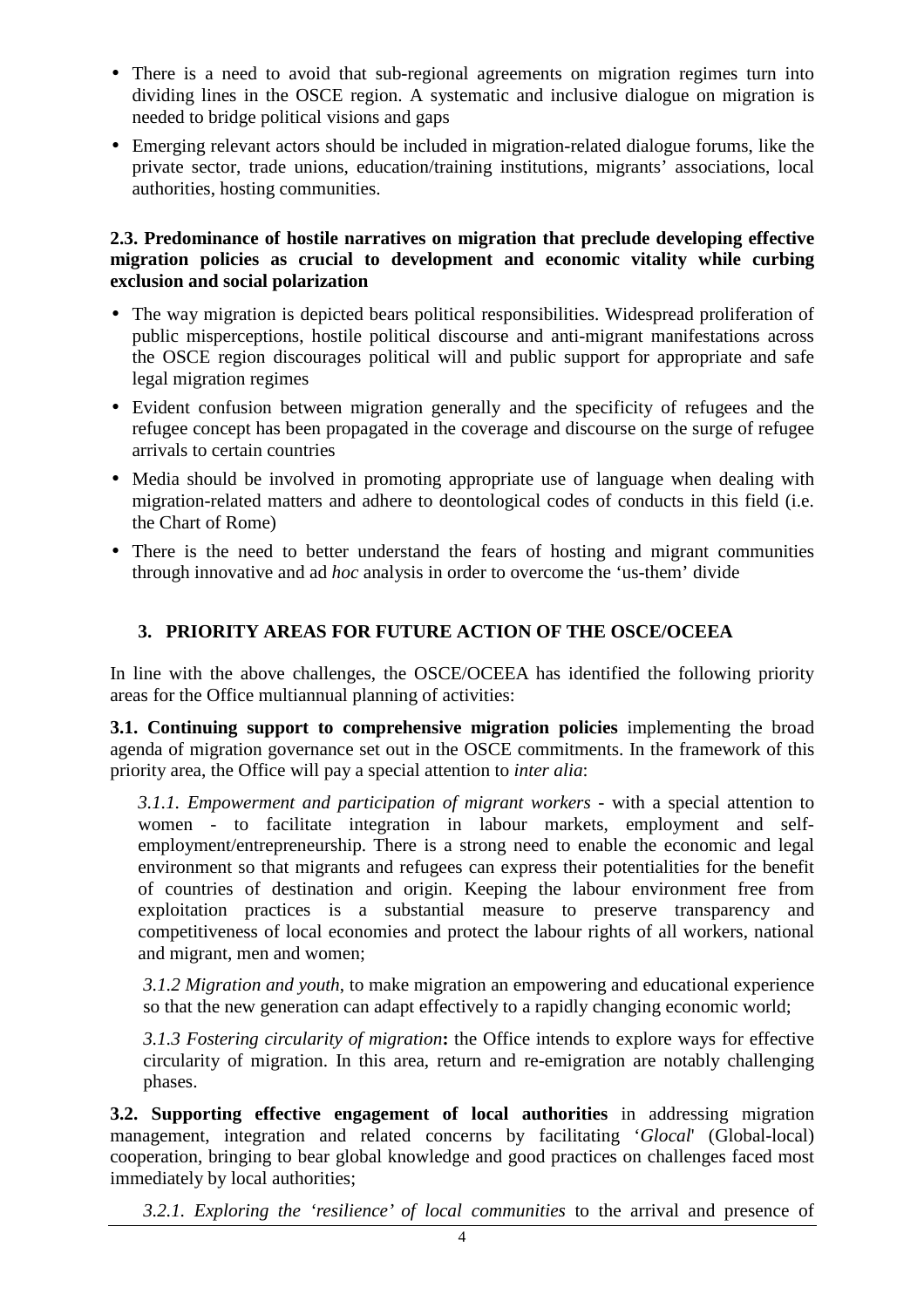- There is a need to avoid that sub-regional agreements on migration regimes turn into dividing lines in the OSCE region. A systematic and inclusive dialogue on migration is needed to bridge political visions and gaps
- Emerging relevant actors should be included in migration-related dialogue forums, like the private sector, trade unions, education/training institutions, migrants' associations, local authorities, hosting communities.

#### **2.3. Predominance of hostile narratives on migration that preclude developing effective migration policies as crucial to development and economic vitality while curbing exclusion and social polarization**

- The way migration is depicted bears political responsibilities. Widespread proliferation of public misperceptions, hostile political discourse and anti-migrant manifestations across the OSCE region discourages political will and public support for appropriate and safe legal migration regimes
- Evident confusion between migration generally and the specificity of refugees and the refugee concept has been propagated in the coverage and discourse on the surge of refugee arrivals to certain countries
- Media should be involved in promoting appropriate use of language when dealing with migration-related matters and adhere to deontological codes of conducts in this field (i.e. the Chart of Rome)
- There is the need to better understand the fears of hosting and migrant communities through innovative and ad *hoc* analysis in order to overcome the 'us-them' divide

### **3. PRIORITY AREAS FOR FUTURE ACTION OF THE OSCE/OCEEA**

In line with the above challenges, the OSCE/OCEEA has identified the following priority areas for the Office multiannual planning of activities:

**3.1. Continuing support to comprehensive migration policies** implementing the broad agenda of migration governance set out in the OSCE commitments. In the framework of this priority area, the Office will pay a special attention to *inter alia*:

*3.1.1. Empowerment and participation of migrant workers* - with a special attention to women - to facilitate integration in labour markets, employment and selfemployment/entrepreneurship. There is a strong need to enable the economic and legal environment so that migrants and refugees can express their potentialities for the benefit of countries of destination and origin. Keeping the labour environment free from exploitation practices is a substantial measure to preserve transparency and competitiveness of local economies and protect the labour rights of all workers, national and migrant, men and women;

*3.1.2 Migration and youth*, to make migration an empowering and educational experience so that the new generation can adapt effectively to a rapidly changing economic world;

*3.1.3 Fostering circularity of migration***:** the Office intends to explore ways for effective circularity of migration. In this area, return and re-emigration are notably challenging phases.

**3.2. Supporting effective engagement of local authorities** in addressing migration management, integration and related concerns by facilitating '*Glocal*' (Global-local) cooperation, bringing to bear global knowledge and good practices on challenges faced most immediately by local authorities;

*3.2.1. Exploring the 'resilience' of local communities* to the arrival and presence of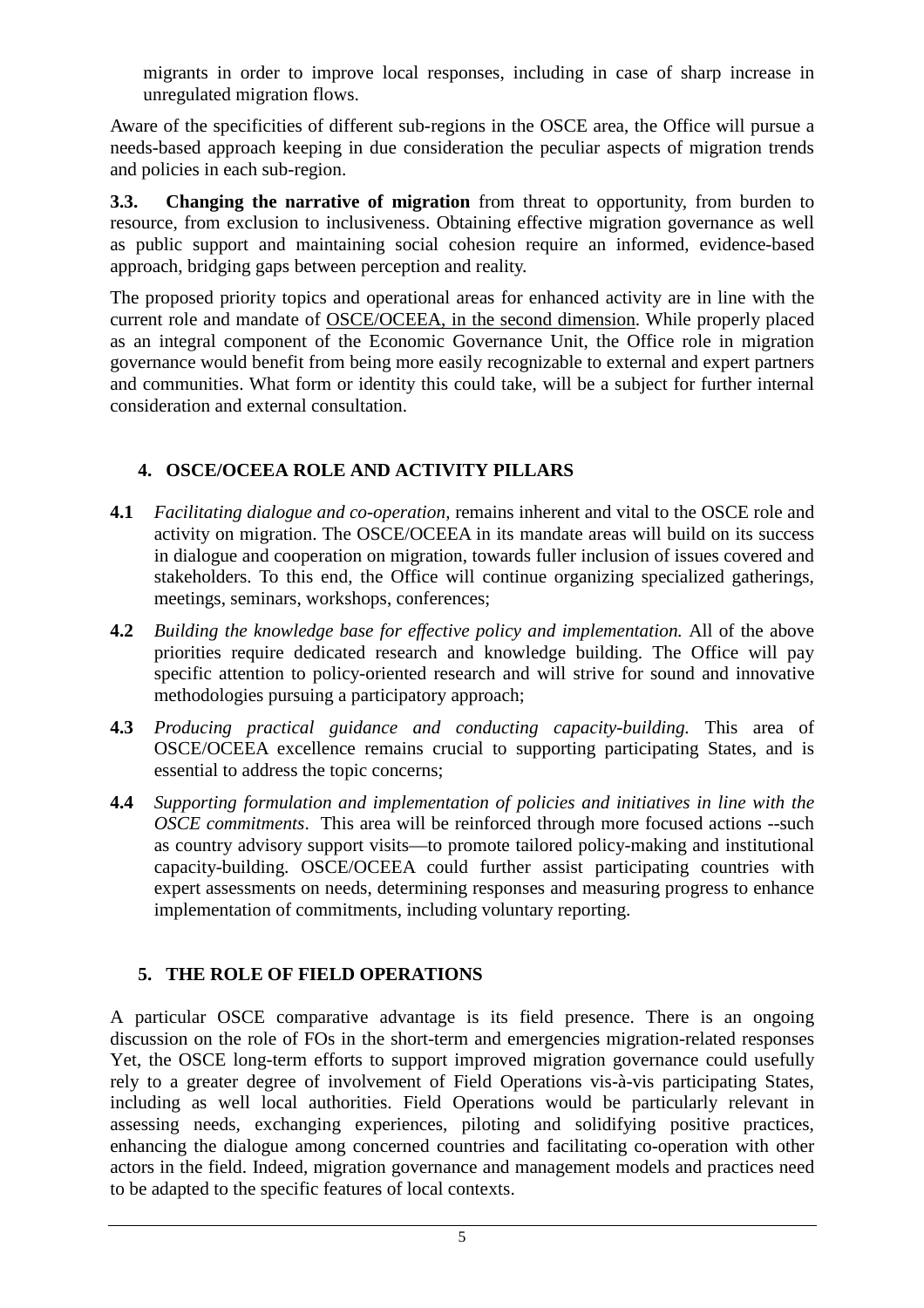migrants in order to improve local responses, including in case of sharp increase in unregulated migration flows.

Aware of the specificities of different sub-regions in the OSCE area, the Office will pursue a needs-based approach keeping in due consideration the peculiar aspects of migration trends and policies in each sub-region.

**3.3. Changing the narrative of migration** from threat to opportunity, from burden to resource, from exclusion to inclusiveness. Obtaining effective migration governance as well as public support and maintaining social cohesion require an informed, evidence-based approach, bridging gaps between perception and reality.

The proposed priority topics and operational areas for enhanced activity are in line with the current role and mandate of OSCE/OCEEA, in the second dimension. While properly placed as an integral component of the Economic Governance Unit, the Office role in migration governance would benefit from being more easily recognizable to external and expert partners and communities. What form or identity this could take, will be a subject for further internal consideration and external consultation.

### **4. OSCE/OCEEA ROLE AND ACTIVITY PILLARS**

- **4.1** *Facilitating dialogue and co-operation,* remains inherent and vital to the OSCE role and activity on migration. The OSCE/OCEEA in its mandate areas will build on its success in dialogue and cooperation on migration, towards fuller inclusion of issues covered and stakeholders. To this end, the Office will continue organizing specialized gatherings, meetings, seminars, workshops, conferences;
- **4.2** *Building the knowledge base for effective policy and implementation.* All of the above priorities require dedicated research and knowledge building. The Office will pay specific attention to policy-oriented research and will strive for sound and innovative methodologies pursuing a participatory approach;
- **4.3** *Producing practical guidance and conducting capacity-building.* This area of OSCE/OCEEA excellence remains crucial to supporting participating States, and is essential to address the topic concerns;
- **4.4** *Supporting formulation and implementation of policies and initiatives in line with the OSCE commitments*. This area will be reinforced through more focused actions --such as country advisory support visits—to promote tailored policy-making and institutional capacity-building. OSCE/OCEEA could further assist participating countries with expert assessments on needs, determining responses and measuring progress to enhance implementation of commitments, including voluntary reporting.

### **5. THE ROLE OF FIELD OPERATIONS**

A particular OSCE comparative advantage is its field presence. There is an ongoing discussion on the role of FOs in the short-term and emergencies migration-related responses Yet, the OSCE long-term efforts to support improved migration governance could usefully rely to a greater degree of involvement of Field Operations vis-à-vis participating States, including as well local authorities. Field Operations would be particularly relevant in assessing needs, exchanging experiences, piloting and solidifying positive practices, enhancing the dialogue among concerned countries and facilitating co-operation with other actors in the field. Indeed, migration governance and management models and practices need to be adapted to the specific features of local contexts.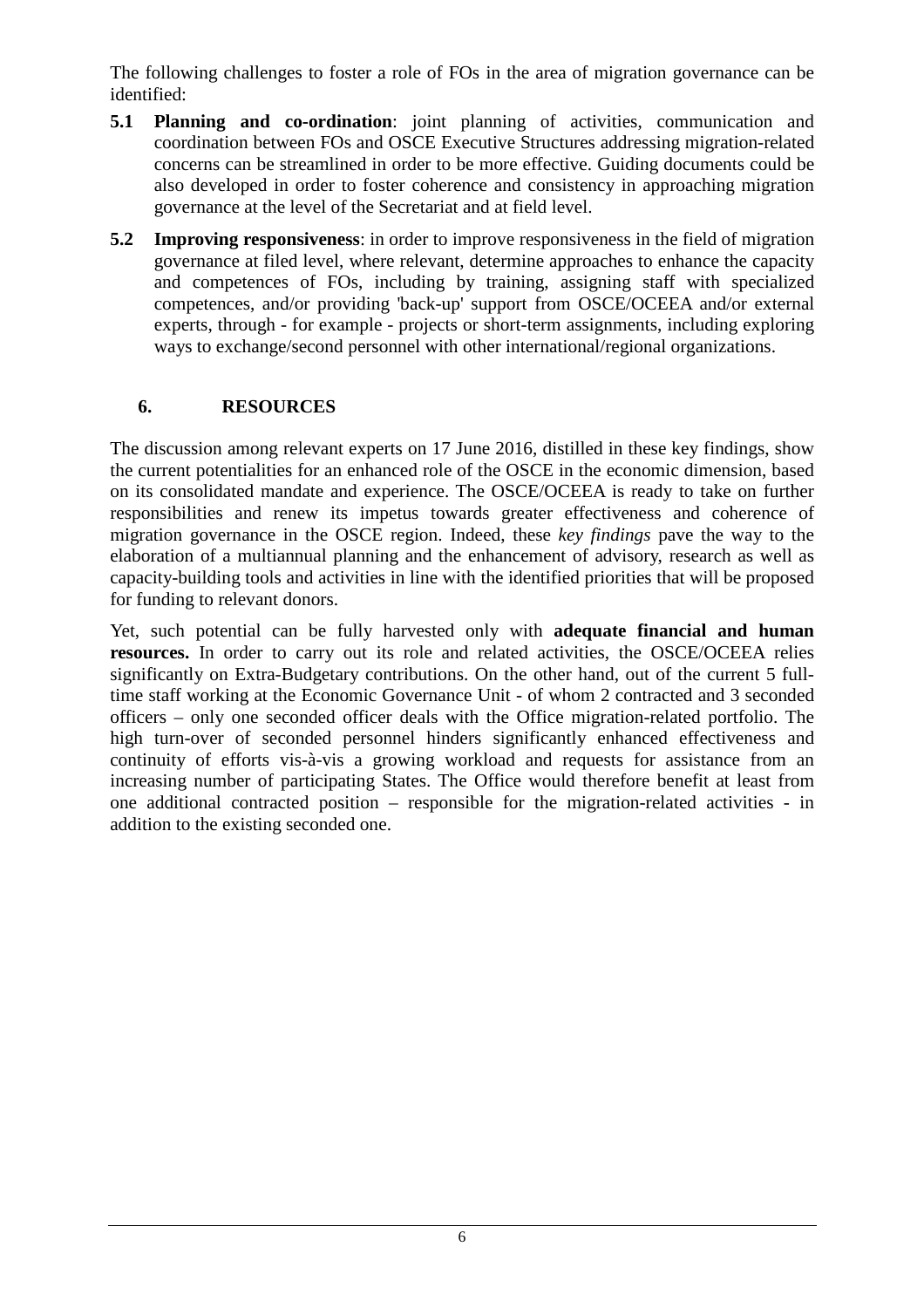The following challenges to foster a role of FOs in the area of migration governance can be identified:

- **5.1 Planning and co-ordination**: joint planning of activities, communication and coordination between FOs and OSCE Executive Structures addressing migration-related concerns can be streamlined in order to be more effective. Guiding documents could be also developed in order to foster coherence and consistency in approaching migration governance at the level of the Secretariat and at field level.
- **5.2 Improving responsiveness**: in order to improve responsiveness in the field of migration governance at filed level, where relevant, determine approaches to enhance the capacity and competences of FOs, including by training, assigning staff with specialized competences, and/or providing 'back-up' support from OSCE/OCEEA and/or external experts, through - for example - projects or short-term assignments, including exploring ways to exchange/second personnel with other international/regional organizations.

### **6. RESOURCES**

The discussion among relevant experts on 17 June 2016, distilled in these key findings, show the current potentialities for an enhanced role of the OSCE in the economic dimension, based on its consolidated mandate and experience. The OSCE/OCEEA is ready to take on further responsibilities and renew its impetus towards greater effectiveness and coherence of migration governance in the OSCE region. Indeed, these *key findings* pave the way to the elaboration of a multiannual planning and the enhancement of advisory, research as well as capacity-building tools and activities in line with the identified priorities that will be proposed for funding to relevant donors.

Yet, such potential can be fully harvested only with **adequate financial and human resources.** In order to carry out its role and related activities, the OSCE/OCEEA relies significantly on Extra-Budgetary contributions. On the other hand, out of the current 5 fulltime staff working at the Economic Governance Unit - of whom 2 contracted and 3 seconded officers – only one seconded officer deals with the Office migration-related portfolio. The high turn-over of seconded personnel hinders significantly enhanced effectiveness and continuity of efforts vis-à-vis a growing workload and requests for assistance from an increasing number of participating States. The Office would therefore benefit at least from one additional contracted position – responsible for the migration-related activities - in addition to the existing seconded one.